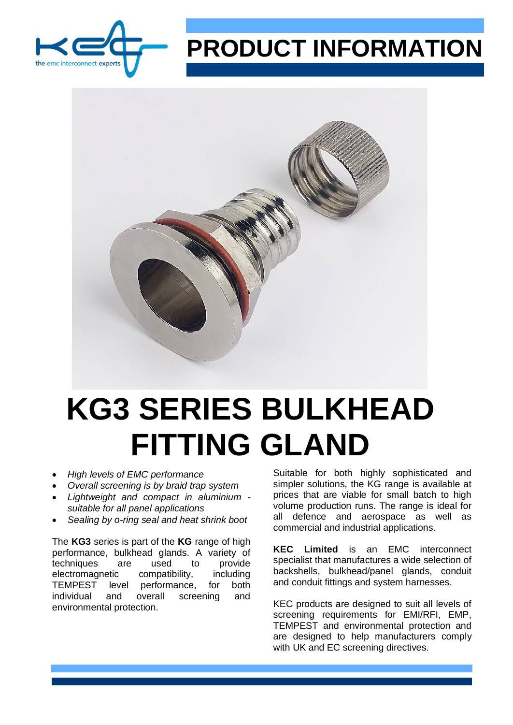

## **PRODUCT INFORMATION**



## **KG3 SERIES BULKHEAD FITTING GLAND**

- *High levels of EMC performance*
- *Overall screening is by braid trap system*
- *Lightweight and compact in aluminium suitable for all panel applications*
- *Sealing by o-ring seal and heat shrink boot*

The **KG3** series is part of the **KG** range of high performance, bulkhead glands. A variety of techniques are used to provide electromagnetic compatibility, including TEMPEST level performance, for both individual and overall screening and environmental protection.

Suitable for both highly sophisticated and simpler solutions, the KG range is available at prices that are viable for small batch to high volume production runs. The range is ideal for all defence and aerospace as well as commercial and industrial applications.

**KEC Limited** is an EMC interconnect specialist that manufactures a wide selection of backshells, bulkhead/panel glands, conduit and conduit fittings and system harnesses.

KEC products are designed to suit all levels of screening requirements for EMI/RFI, EMP, TEMPEST and environmental protection and are designed to help manufacturers comply with UK and EC screening directives.